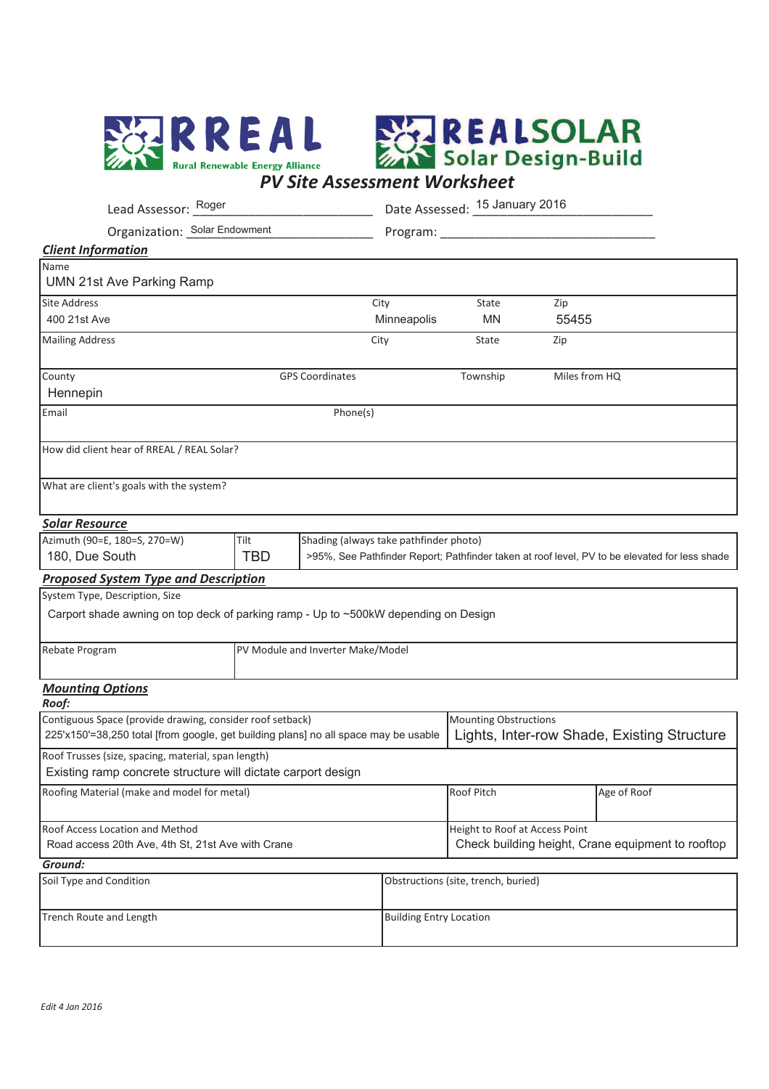



| Lead Assessor: Roger                                                                                                                             |                                                                                                             |                        |                     | Date Assessed: 15 January 2016                                                      |               |  |  |  |
|--------------------------------------------------------------------------------------------------------------------------------------------------|-------------------------------------------------------------------------------------------------------------|------------------------|---------------------|-------------------------------------------------------------------------------------|---------------|--|--|--|
| Organization: Solar Endowment                                                                                                                    |                                                                                                             |                        |                     |                                                                                     |               |  |  |  |
| <b>Client Information</b>                                                                                                                        |                                                                                                             |                        |                     |                                                                                     |               |  |  |  |
| Name<br><b>UMN 21st Ave Parking Ramp</b>                                                                                                         |                                                                                                             |                        |                     |                                                                                     |               |  |  |  |
| <b>Site Address</b><br>400 21st Ave                                                                                                              |                                                                                                             |                        | City<br>Minneapolis | State<br><b>MN</b>                                                                  | Zip<br>55455  |  |  |  |
| <b>Mailing Address</b>                                                                                                                           |                                                                                                             |                        | City                | State                                                                               | Zip           |  |  |  |
| County<br>Hennepin                                                                                                                               |                                                                                                             | <b>GPS Coordinates</b> |                     | Township                                                                            | Miles from HQ |  |  |  |
| Email                                                                                                                                            |                                                                                                             | Phone(s)               |                     |                                                                                     |               |  |  |  |
| How did client hear of RREAL / REAL Solar?                                                                                                       |                                                                                                             |                        |                     |                                                                                     |               |  |  |  |
| What are client's goals with the system?                                                                                                         |                                                                                                             |                        |                     |                                                                                     |               |  |  |  |
| <b>Solar Resource</b>                                                                                                                            |                                                                                                             |                        |                     |                                                                                     |               |  |  |  |
| Azimuth (90=E, 180=S, 270=W)                                                                                                                     | Shading (always take pathfinder photo)<br>Tilt                                                              |                        |                     |                                                                                     |               |  |  |  |
| 180, Due South                                                                                                                                   | <b>TBD</b><br>>95%, See Pathfinder Report; Pathfinder taken at roof level, PV to be elevated for less shade |                        |                     |                                                                                     |               |  |  |  |
| <b>Proposed System Type and Description</b>                                                                                                      |                                                                                                             |                        |                     |                                                                                     |               |  |  |  |
| System Type, Description, Size                                                                                                                   |                                                                                                             |                        |                     |                                                                                     |               |  |  |  |
| Carport shade awning on top deck of parking ramp - Up to ~500kW depending on Design                                                              |                                                                                                             |                        |                     |                                                                                     |               |  |  |  |
| Rebate Program                                                                                                                                   | PV Module and Inverter Make/Model                                                                           |                        |                     |                                                                                     |               |  |  |  |
| <b>Mounting Options</b><br>Roof:                                                                                                                 |                                                                                                             |                        |                     |                                                                                     |               |  |  |  |
| Contiguous Space (provide drawing, consider roof setback)<br>225'x150'=38,250 total [from google, get building plans] no all space may be usable |                                                                                                             |                        |                     | <b>Mounting Obstructions</b><br>Lights, Inter-row Shade, Existing Structure         |               |  |  |  |
| Roof Trusses (size, spacing, material, span length)<br>Existing ramp concrete structure will dictate carport design                              |                                                                                                             |                        |                     |                                                                                     |               |  |  |  |
| Roofing Material (make and model for metal)                                                                                                      | Roof Pitch                                                                                                  |                        | Age of Roof         |                                                                                     |               |  |  |  |
| Roof Access Location and Method<br>Road access 20th Ave, 4th St, 21st Ave with Crane                                                             |                                                                                                             |                        |                     | Height to Roof at Access Point<br>Check building height, Crane equipment to rooftop |               |  |  |  |
| Ground:                                                                                                                                          |                                                                                                             |                        |                     |                                                                                     |               |  |  |  |
|                                                                                                                                                  |                                                                                                             |                        |                     |                                                                                     |               |  |  |  |

| Soil Type and Condition | Obstructions (site, trench, buried) |
|-------------------------|-------------------------------------|
| Trench Route and Length | <b>Building Entry Location</b>      |